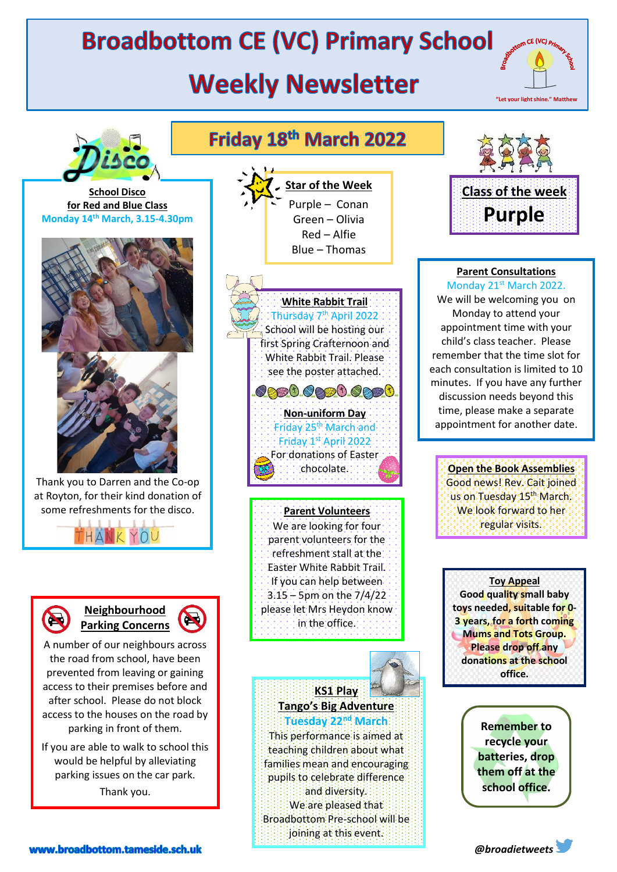## **Broadbottom CE (VC) Primary School**

## **Weekly Newsletter**